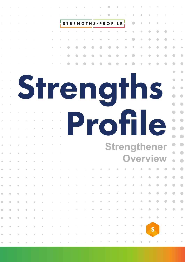# Strengths Profile **Strengthener Overview**

 $\mathbf{S}$ 

STRENGTHS · PROFILE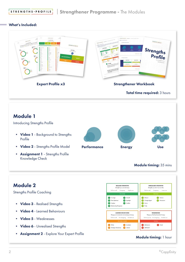STRENGTHS PROFILE

# What's Included:

| <b>Social</b><br><b>ITELECTIVESTIC</b><br>Your Full-60 Profile<br>four which graffic science \$3 strength<br>STRENGTHS-PROFILE<br>.<br>$\overline{\mathbf{a}}$<br><b>O</b> Comp<br>$\bullet$<br><b><i><u><i><u><b>Restract Avenue</b></u></i></u></i></b><br>$0 \sim$<br>0.1444<br><b>O</b> layers<br><b>Ballysia</b><br>0.444<br>0 <sup>1</sup><br>$0 \nightharpoonup$<br><b>D</b> tracks<br><b>Black</b><br><b>O</b> months<br><b>Brown</b><br><b>C</b> <i>Designation</i><br><b>O</b> Castal<br><b>D</b> tours his<br>$\bullet$ was<br><b>D</b> Currick<br><b>O</b> himself<br>ை<br>EMOTIONAL AWARENESS<br><b>O</b> National<br>EQUALITY<br><b>O</b> Chronik<br><b>Burning</b><br><b>D</b> Oppose<br><b>Grand</b><br>$0$ Counts<br><b>O</b> biforest<br><b>Service</b><br><b>DETAIL</b><br>$0 -$<br><b>O</b> Luth<br><b>Donne</b><br>COMPETITION<br>0.444<br><b>O</b> Greater<br>household<br>0.50<br><b>D</b> from<br><b>D</b> over<br>$\bullet -$<br><b>Domain</b><br>h<br>$\mathbf{a}$<br><b>O</b> form<br><b>B</b> sample<br><b>De Sanction Australia</b><br><b>D</b> over | [STRENGTHS-PEDFILE]   Madale 1 - Introducing Strengths Profile<br>Video 2 - Strangha Profile Atodel<br><b>STRENGTHS-PROJ-</b><br>The Cappelinity Strengths Approach<br>$\frac{1}{2}$ Strengths<br>receive recent Capples<br>The Strengths Profile Model<br><b><i>INSTALLING</i></b><br><b>ENGINE CROSS</b><br>Strengthener<br><b>Insurance Art as and</b><br>and team |
|-----------------------------------------------------------------------------------------------------------------------------------------------------------------------------------------------------------------------------------------------------------------------------------------------------------------------------------------------------------------------------------------------------------------------------------------------------------------------------------------------------------------------------------------------------------------------------------------------------------------------------------------------------------------------------------------------------------------------------------------------------------------------------------------------------------------------------------------------------------------------------------------------------------------------------------------------------------------------------------------------------------------------------------------------------------------------------------|-----------------------------------------------------------------------------------------------------------------------------------------------------------------------------------------------------------------------------------------------------------------------------------------------------------------------------------------------------------------------|
| <b>O</b> Provening<br><b>O</b> Vol.the<br><b>O</b> Hally<br><b>O</b> Adverse<br><b>Expert Profile x3</b>                                                                                                                                                                                                                                                                                                                                                                                                                                                                                                                                                                                                                                                                                                                                                                                                                                                                                                                                                                          | <b>Strengthener Workbook</b><br>Total time required: 3 hours                                                                                                                                                                                                                                                                                                          |

# Module 1

Introducing Strengths Profile

- Video 1 Background to Strengths Profile
- Video 2 Strengths Profile Model
- Assignment 1 Strengths Profile Knowledge Check



Module timing: 35 mins

# Module 2

Strengths Profile Coaching

- Video 3 Realised Strengths
- Video 4 Learned Behaviours
- Video 5 Weaknesses
- Video 6 Unrealised Strengths
- Assignment 2 Explore Your Expert Profile



# Module timing: 1 hour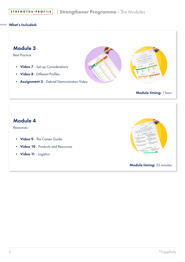STRENGTHS PROFILE

### What's Included:

# Module 3

Best Practice

- Video 7 Set-up Considerations
- Video 8 Different Profiles
- Assignment 3 Debrief Demonstration Video





Module timing: 1 hour

# Module 4

Resources

- Video 9 The Career Guide
- Video 10 Products and Resources
- Video 11 Logistics



## Module timing: 25 minutes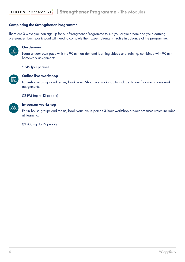#### Completing the Strengthener Programme

There are 3 ways you can sign up for our Strengthener Programme to suit you or your team and your learning preferences. Each participant will need to complete their Expert Strengths Profile in advance of the programme.



#### On-demand

Learn at your own pace with the 90 min on-demand learning videos and training, combined with 90 min homework assignments.

£249 (per person)



#### Online live workshop

For in-house groups and teams, book your 2-hour live workshop to include 1-hour follow-up homework assignments.

£2495 (up to 12 people)



#### In-person workshop

For in-house groups and teams, book your live in-person 3-hour workshop at your premises which includes all learning.

£3500 (up to 12 people)